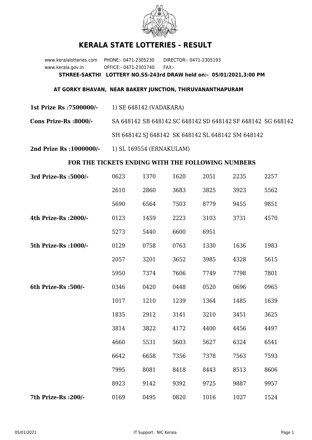

## **KERALA STATE LOTTERIES - RESULT**

www.keralalotteries.com PHONE:- 0471-2305230 DIRECTOR:- 0471-2305193 www.kerala.gov.in OFFICE:- 0471-2301740 FAX:- **STHREE-SAKTHI LOTTERY NO.SS-243rd DRAW held on:- 05/01/2021,3:00 PM**

## **AT GORKY BHAVAN, NEAR BAKERY JUNCTION, THIRUVANANTHAPURAM**

**1st Prize Rs :7500000/-** 1) SE 648142 (VADAKARA)

**Cons Prize-Rs :8000/-** SA 648142 SB 648142 SC 648142 SD 648142 SF 648142 SG 648142 SH 648142 SJ 648142 SK 648142 SL 648142 SM 648142

**2nd Prize Rs :1000000/-** 1) SL 169554 (ERNAKULAM)

## **FOR THE TICKETS ENDING WITH THE FOLLOWING NUMBERS**

| 3rd Prize-Rs : 5000/- | 0623 | 1370 | 1620 | 2051 | 2235 | 2257 |
|-----------------------|------|------|------|------|------|------|
|                       | 2610 | 2860 | 3683 | 3825 | 3923 | 5562 |
|                       | 5690 | 6564 | 7503 | 8779 | 9455 | 9851 |
| 4th Prize-Rs : 2000/- | 0123 | 1459 | 2223 | 3103 | 3731 | 4570 |
|                       | 5273 | 5440 | 6600 | 6951 |      |      |
| 5th Prize-Rs : 1000/- | 0129 | 0758 | 0763 | 1330 | 1636 | 1983 |
|                       | 2057 | 3201 | 3652 | 3985 | 4328 | 5615 |
|                       | 5950 | 7374 | 7606 | 7749 | 7798 | 7801 |
| 6th Prize-Rs :500/-   | 0346 | 0420 | 0448 | 0520 | 0696 | 0965 |
|                       | 1017 | 1210 | 1239 | 1364 | 1485 | 1639 |
|                       | 1835 | 2912 | 3141 | 3210 | 3451 | 3625 |
|                       | 3814 | 3822 | 4172 | 4400 | 4456 | 4497 |
|                       | 4660 | 5531 | 5603 | 5627 | 6324 | 6541 |
|                       | 6642 | 6658 | 7356 | 7378 | 7563 | 7593 |
|                       | 7995 | 8081 | 8418 | 8443 | 8513 | 8606 |
|                       | 8923 | 9142 | 9392 | 9725 | 9887 | 9957 |
| 7th Prize-Rs : 200/-  | 0169 | 0495 | 0820 | 1016 | 1027 | 1524 |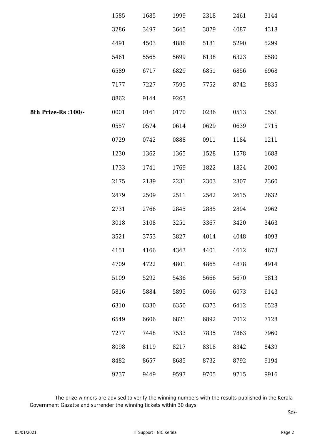|                      | 1585 | 1685 | 1999 | 2318 | 2461 | 3144 |
|----------------------|------|------|------|------|------|------|
|                      | 3286 | 3497 | 3645 | 3879 | 4087 | 4318 |
|                      | 4491 | 4503 | 4886 | 5181 | 5290 | 5299 |
|                      | 5461 | 5565 | 5699 | 6138 | 6323 | 6580 |
|                      | 6589 | 6717 | 6829 | 6851 | 6856 | 6968 |
|                      | 7177 | 7227 | 7595 | 7752 | 8742 | 8835 |
|                      | 8862 | 9144 | 9263 |      |      |      |
| 8th Prize-Rs : 100/- | 0001 | 0161 | 0170 | 0236 | 0513 | 0551 |
|                      | 0557 | 0574 | 0614 | 0629 | 0639 | 0715 |
|                      | 0729 | 0742 | 0888 | 0911 | 1184 | 1211 |
|                      | 1230 | 1362 | 1365 | 1528 | 1578 | 1688 |
|                      | 1733 | 1741 | 1769 | 1822 | 1824 | 2000 |
|                      | 2175 | 2189 | 2231 | 2303 | 2307 | 2360 |
|                      | 2479 | 2509 | 2511 | 2542 | 2615 | 2632 |
|                      | 2731 | 2766 | 2845 | 2885 | 2894 | 2962 |
|                      | 3018 | 3108 | 3251 | 3367 | 3420 | 3463 |
|                      | 3521 | 3753 | 3827 | 4014 | 4048 | 4093 |
|                      | 4151 | 4166 | 4343 | 4401 | 4612 | 4673 |
|                      | 4709 | 4722 | 4801 | 4865 | 4878 | 4914 |
|                      | 5109 | 5292 | 5436 | 5666 | 5670 | 5813 |
|                      | 5816 | 5884 | 5895 | 6066 | 6073 | 6143 |
|                      | 6310 | 6330 | 6350 | 6373 | 6412 | 6528 |
|                      | 6549 | 6606 | 6821 | 6892 | 7012 | 7128 |
|                      | 7277 | 7448 | 7533 | 7835 | 7863 | 7960 |
|                      | 8098 | 8119 | 8217 | 8318 | 8342 | 8439 |
|                      | 8482 | 8657 | 8685 | 8732 | 8792 | 9194 |
|                      | 9237 | 9449 | 9597 | 9705 | 9715 | 9916 |

 The prize winners are advised to verify the winning numbers with the results published in the Kerala Government Gazatte and surrender the winning tickets within 30 days.